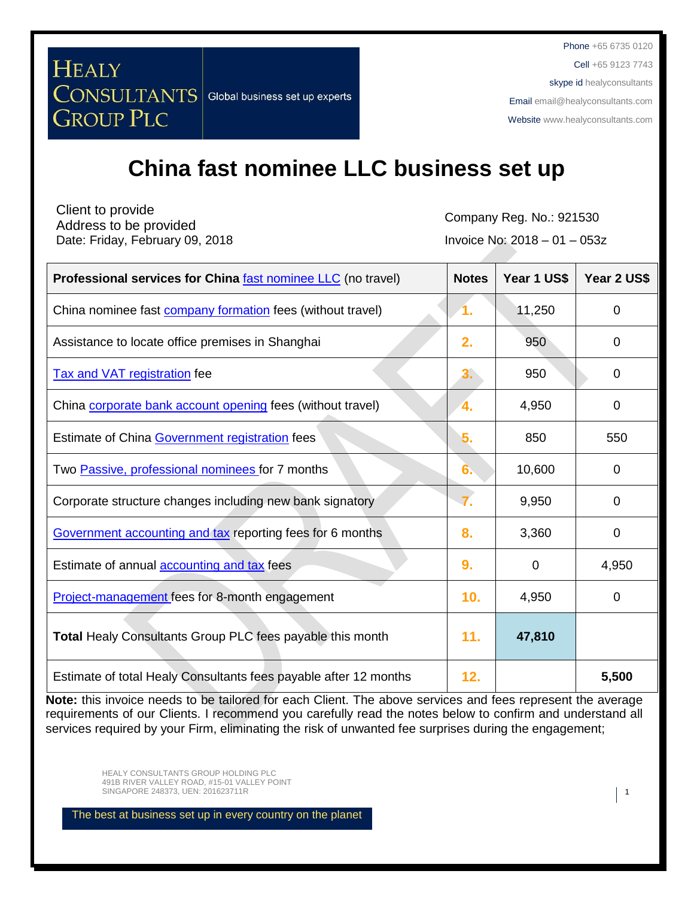Cell +65 9123 7743

skype id healyconsultants

Email [email@healyconsultants.com](mailto:EMAIL@HEALYCONSULTANTS.COM)

Websit[e www.healyconsultants.com](http://www.healyconsultants.com/)

# **China fast nominee LLC business set up**

Client to provide Company Reg. No.: 921530<br>Address to be provided and company Reg. No.: 921530 Date: Friday, February 09, 2018 **Invoice No: 2018** - 01 – 053z

**CONSULTANTS** Global business set up experts

**HEALY** 

**GROUP PLC** 

| <b>Professional services for China fast nominee LLC</b> (no travel) | <b>Notes</b> | Year 1 US\$ | Year 2 US\$    |
|---------------------------------------------------------------------|--------------|-------------|----------------|
| China nominee fast <b>company formation</b> fees (without travel)   | 1.           | 11,250      | $\mathbf 0$    |
| Assistance to locate office premises in Shanghai                    | 2.           | 950         | $\Omega$       |
| <b>Tax and VAT registration fee</b>                                 | 3.           | 950         | 0              |
| China corporate bank account opening fees (without travel)          | 4.           | 4,950       | $\overline{0}$ |
| Estimate of China Government registration fees                      | 5.           | 850         | 550            |
| Two Passive, professional nominees for 7 months                     | 6.           | 10,600      | 0              |
| Corporate structure changes including new bank signatory            |              | 9,950       | 0              |
| Government accounting and tax reporting fees for 6 months           | 8.           | 3,360       | 0              |
| Estimate of annual <b>accounting and tax</b> fees                   | 9.           | 0           | 4,950          |
| Project-management fees for 8-month engagement                      | 10.          | 4,950       | 0              |
| Total Healy Consultants Group PLC fees payable this month           | 11.          | 47,810      |                |
| Estimate of total Healy Consultants fees payable after 12 months    | 12.          |             | 5,500          |

**Note:** this invoice needs to be tailored for each Client. The above services and fees represent the average requirements of our Clients. I recommend you carefully read the notes below to confirm and understand all services required by your Firm, eliminating the risk of unwanted fee surprises during the engagement;

HEALY CONSULTANTS GROUP HOLDING PLC 491B RIVER VALLEY ROAD, #15-01 VALLEY POINT SINGAPORE 248373, UEN: 201623711R 1 1 1 1 2016 1 2016 1 2016 1 2021 1 2021 1 2021 1 2021 1 2021 1 2021 1 2021 1 2021 1 2021 1 2021 1 2021 1 2021 1 2021 1 2021 1 2021 1 2021 1 2021 1 2021 1 2022 1 2022 1 2022 1 2022 1 2022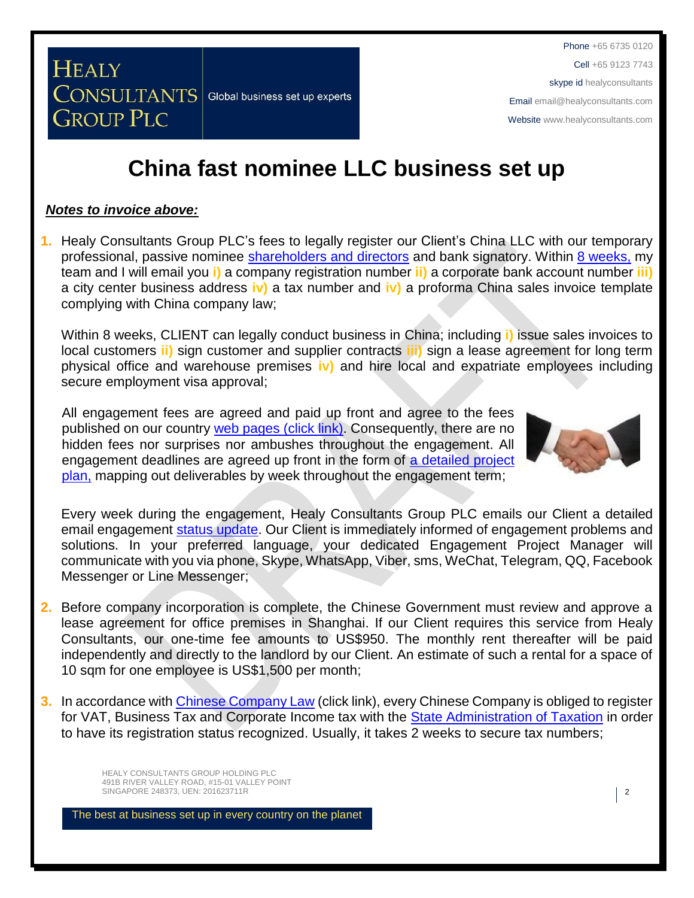Cell +65 9123 7743

skype id healyconsultants

Email [email@healyconsultants.com](mailto:EMAIL@HEALYCONSULTANTS.COM)

Websit[e www.healyconsultants.com](http://www.healyconsultants.com/)

## **China fast nominee LLC business set up**

#### *Notes to invoice above:*

**GROUP PLC** 

**CONSULTANTS** Global business set up experts

**HEALY** 

**1.** Healy Consultants Group PLC's fees to legally register our Client's China LLC with our temporary professional, passive nominee [shareholders and directors](http://www.healyconsultants.com/corporate-advisory-services/nominee-shareholders-directors/) and bank signatory. Within [8 weeks,](http://www.healyconsultants.com/china-company-registration/fees-timelines/) my team and I will email you **i)** a company registration number **ii)** a corporate bank account number **iii)** a city center business address **iv)** a tax number and **iv)** a proforma China sales invoice template complying with China company law;

Within 8 weeks, CLIENT can legally conduct business in China; including **i)** issue sales invoices to local customers **ii)** sign customer and supplier contracts **iii)** sign a lease agreement for long term physical office and warehouse premises **iv)** and hire local and expatriate employees including secure employment visa approval;

All engagement fees are agreed and paid up front and agree to the fees published on our country [web pages](http://www.healyconsultants.com/turnkey-solutions/) (click link). Consequently, there are no hidden fees nor surprises nor ambushes throughout the engagement. All engagement deadlines are agreed up front in the form of a detailed project [plan,](http://www.healyconsultants.com/example-detailed-project-plan/) mapping out deliverables by week throughout the engagement term;



Every week during the engagement, Healy Consultants Group PLC emails our Client a detailed email engagement [status update.](http://www.healyconsultants.com/index-important-links/weekly-engagement-status-email/) Our Client is immediately informed of engagement problems and solutions. In your preferred language, your dedicated Engagement Project Manager will communicate with you via phone, Skype, WhatsApp, Viber, sms, WeChat, Telegram, QQ, Facebook Messenger or Line Messenger;

- **2.** Before company incorporation is complete, the Chinese Government must review and approve a lease agreement for office premises in Shanghai. If our Client requires this service from Healy Consultants, our one-time fee amounts to US\$950. The monthly rent thereafter will be paid independently and directly to the landlord by our Client. An estimate of such a rental for a space of 10 sqm for one employee is US\$1,500 per month;
- **3.** In accordance with [Chinese Company Law](http://www.china.org.cn/government/laws/2007-06/06/content_1207345.htm) (click link), every Chinese Company is obliged to register for VAT, Business Tax and Corporate Income tax with the [State Administration of Taxation](http://www.chinatax.gov.cn/2013/n2925/) in order to have its registration status recognized. Usually, it takes 2 weeks to secure tax numbers;

HEALY CONSULTANTS GROUP HOLDING PLC 491B RIVER VALLEY ROAD, #15-01 VALLEY POINT SINGAPORE 248373, UEN: 201623711R 2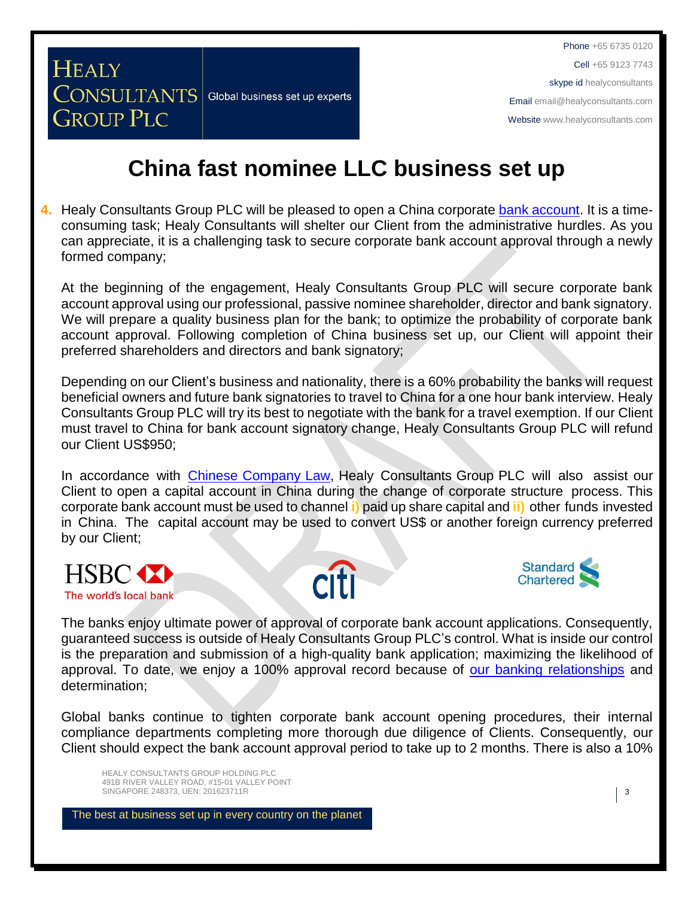### **China fast nominee LLC business set up**

**4.** Healy Consultants Group PLC will be pleased to open a China corporate [bank account.](http://www.healyconsultants.com/vietnam-company-registration/formation-support-services/#banking) It is a timeconsuming task; Healy Consultants will shelter our Client from the administrative hurdles. As you can appreciate, it is a challenging task to secure corporate bank account approval through a newly formed company;

At the beginning of the engagement, Healy Consultants Group PLC will secure corporate bank account approval using our professional, passive nominee shareholder, director and bank signatory. We will prepare a quality business plan for the bank; to optimize the probability of corporate bank account approval. Following completion of China business set up, our Client will appoint their preferred shareholders and directors and bank signatory;

Depending on our Client's business and nationality, there is a 60% probability the banks will request beneficial owners and future bank signatories to travel to China for a one hour bank interview. Healy Consultants Group PLC will try its best to negotiate with the bank for a travel exemption. If our Client must travel to China for bank account signatory change, Healy Consultants Group PLC will refund our Client US\$950;

In accordance with [Chinese Company Law,](http://www.china.org.cn/government/laws/2007-06/06/content_1207345.htm) Healy Consultants Group PLC will also assist our Client to open a capital account in China during the change of corporate structure process. This corporate bank account must be used to channel **i)** paid up share capital and **ii)** other funds invested in China. The capital account may be used to convert US\$ or another foreign currency preferred by our Client;



**HEALY** 

**GROUP PLC** 

**CONSULTANTS** Global business set up experts





The banks enjoy ultimate power of approval of corporate bank account applications. Consequently, guaranteed success is outside of Healy Consultants Group PLC's control. What is inside our control is the preparation and submission of a high-quality bank application; maximizing the likelihood of approval. To date, we enjoy a 100% approval record because of [our banking relationships](http://www.healyconsultants.com/international-banking/corporate-accounts/) and determination;

Global banks continue to tighten corporate bank account opening procedures, their internal compliance departments completing more thorough due diligence of Clients. Consequently, our Client should expect the bank account approval period to take up to 2 months. There is also a 10%

HEALY CONSULTANTS GROUP HOLDING PLC 491B RIVER VALLEY ROAD, #15-01 VALLEY POINT SINGAPORE 248373, UEN: 201623711R 3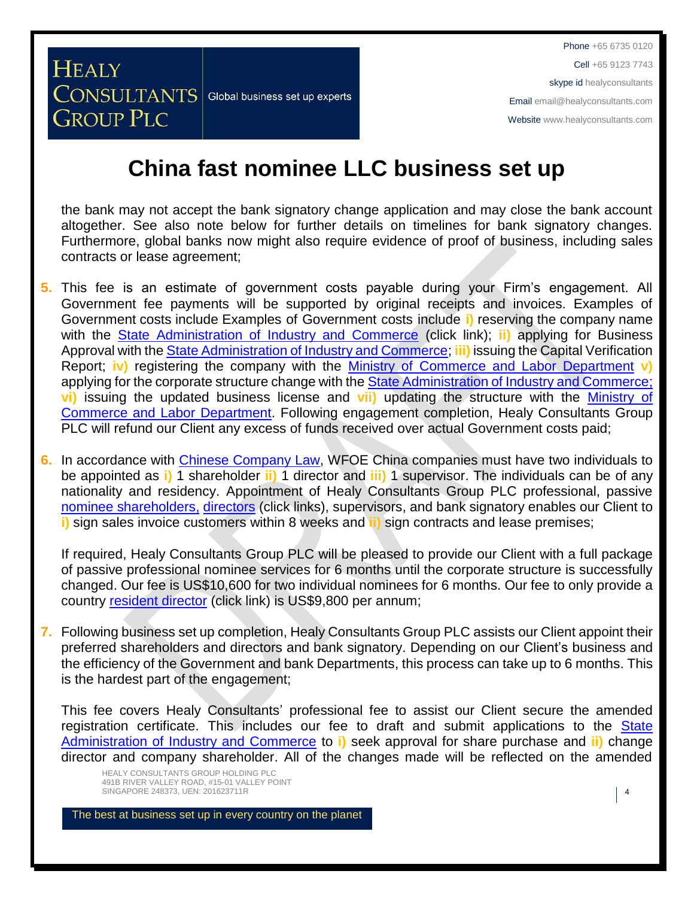**China fast nominee LLC business set up** 

the bank may not accept the bank signatory change application and may close the bank account altogether. See also note below for further details on timelines for bank signatory changes. Furthermore, global banks now might also require evidence of proof of business, including sales contracts or lease agreement;

- **5.** This fee is an estimate of government costs payable during your Firm's engagement. All Government fee payments will be supported by original receipts and invoices. Examples of Government costs include Examples of Government costs include **i)** reserving the company name with the [State Administration of Industry and Commerce](http://www.saic.gov.cn/english/) (click link); **ii)** applying for Business Approval with the [State Administration of Industry and Commerce;](http://www.saic.gov.cn/english/) **iii)** issuing the Capital Verification Report; **iv)** registering the company with the [Ministry of Commerce and Labor Department](http://english.mofcom.gov.cn/aarticle/policyrelease/internationalpolicy/200703/20070304475283.html) **v)** applying for the corporate structure change with the [State Administration of Industry and Commerce;](http://www.saic.gov.cn/english/) **vi)** issuing the updated business license and **vii)** updating the structure with the [Ministry of](http://english.mofcom.gov.cn/aarticle/policyrelease/internationalpolicy/200703/20070304475283.html)  [Commerce and Labor Department.](http://english.mofcom.gov.cn/aarticle/policyrelease/internationalpolicy/200703/20070304475283.html) Following engagement completion, Healy Consultants Group PLC will refund our Client any excess of funds received over actual Government costs paid;
- **6.** In accordance with [Chinese Company Law,](http://www.china.org.cn/government/laws/2007-06/06/content_1207345.htm) WFOE China companies must have two individuals to be appointed as **i)** 1 shareholder **ii)** 1 director and **iii)** 1 supervisor. The individuals can be of any nationality and residency. Appointment of Healy Consultants Group PLC professional, passive [nominee shareholders,](http://www.healyconsultants.com/corporate-advisory-services/nominee-shareholders-directors/national-shareholder-services/) [directors](http://www.healyconsultants.com/corporate-advisory-services/nominee-shareholders-directors/resident-director-services/) (click links), supervisors, and bank signatory enables our Client to **i)** sign sales invoice customers within 8 weeks and **ii)** sign contracts and lease premises;

If required, Healy Consultants Group PLC will be pleased to provide our Client with a full package of passive professional nominee services for 6 months until the corporate structure is successfully changed. Our fee is US\$10,600 for two individual nominees for 6 months. Our fee to only provide a country [resident director](http://www.healyconsultants.com/corporate-advisory-services/nominee-shareholders-directors/resident-director-services/) (click link) is US\$9,800 per annum;

**7.** Following business set up completion, Healy Consultants Group PLC assists our Client appoint their preferred shareholders and directors and bank signatory. Depending on our Client's business and the efficiency of the Government and bank Departments, this process can take up to 6 months. This is the hardest part of the engagement;

This fee covers Healy Consultants' professional fee to assist our Client secure the amended registration certificate. This includes our fee to draft and submit applications to the State [Administration of Industry and Commerce](http://www.saic.gov.cn/english/) to **i)** seek approval for share purchase and **ii)** change director and company shareholder. All of the changes made will be reflected on the amended

HEALY CONSULTANTS GROUP HOLDING PLC 491B RIVER VALLEY ROAD, #15-01 VALLEY POINT SINGAPORE 248373, UEN: 201623711R 4

HEALY

**GROUP PLC** 

**CONSULTANTS** Global business set up experts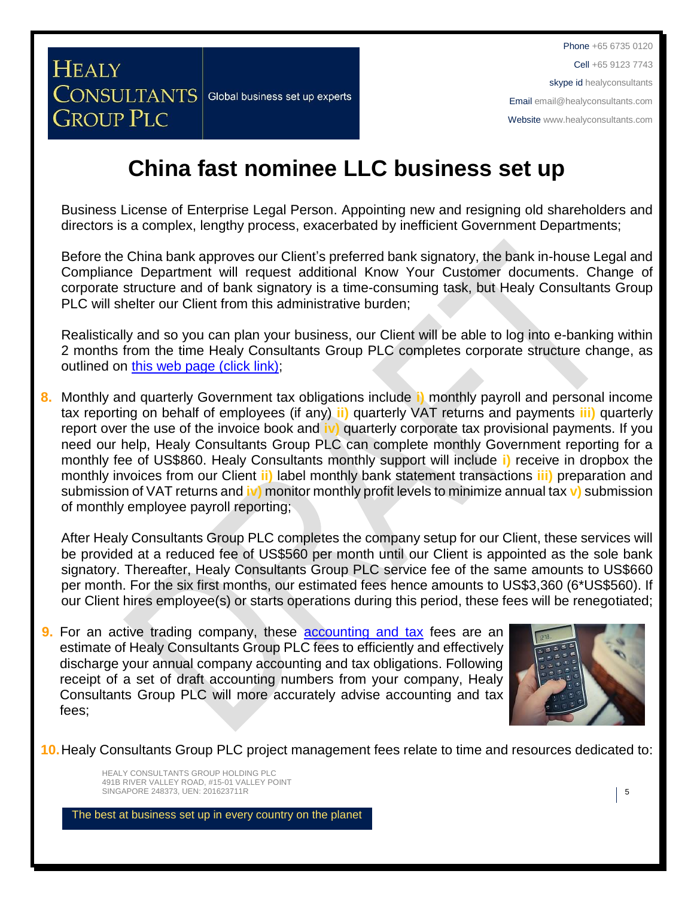## **China fast nominee LLC business set up**

Business License of Enterprise Legal Person. Appointing new and resigning old shareholders and directors is a complex, lengthy process, exacerbated by inefficient Government Departments;

Before the China bank approves our Client's preferred bank signatory, the bank in-house Legal and Compliance Department will request additional Know Your Customer documents. Change of corporate structure and of bank signatory is a time-consuming task, but Healy Consultants Group PLC will shelter our Client from this administrative burden;

Realistically and so you can plan your business, our Client will be able to log into e-banking within 2 months from the time Healy Consultants Group PLC completes corporate structure change, as outlined on [this web page \(click link\);](http://www.healyconsultants.com/turnkey-solutions/)

**8.** Monthly and quarterly Government tax obligations include **i)** monthly payroll and personal income tax reporting on behalf of employees (if any) **ii)** quarterly VAT returns and payments **iii)** quarterly report over the use of the invoice book and **iv)** quarterly corporate tax provisional payments. If you need our help, Healy Consultants Group PLC can complete monthly Government reporting for a monthly fee of US\$860. Healy Consultants monthly support will include **i)** receive in dropbox the monthly invoices from our Client **ii)** label monthly bank statement transactions **iii)** preparation and submission of VAT returns and **iv)** monitor monthly profit levels to minimize annual tax **v)** submission of monthly employee payroll reporting;

After Healy Consultants Group PLC completes the company setup for our Client, these services will be provided at a reduced fee of US\$560 per month until our Client is appointed as the sole bank signatory. Thereafter, Healy Consultants Group PLC service fee of the same amounts to US\$660 per month. For the six first months, our estimated fees hence amounts to US\$3,360 (6\*US\$560). If our Client hires employee(s) or starts operations during this period, these fees will be renegotiated;

**9.** For an active trading company, these [accounting and tax](http://www.healyconsultants.com/china-company-registration-guide/accounting-legal/) fees are an estimate of Healy Consultants Group PLC fees to efficiently and effectively discharge your annual company accounting and tax obligations. Following receipt of a set of draft accounting numbers from your company, Healy Consultants Group PLC will more accurately advise accounting and tax fees;



**10.**Healy Consultants Group PLC project management fees relate to time and resources dedicated to:

HEALY CONSULTANTS GROUP HOLDING PLC 491B RIVER VALLEY ROAD, #15-01 VALLEY POINT SINGAPORE 248373, UEN: 201623711R **5** 

**HEALY** 

**GROUP PLC** 

**CONSULTANTS** Global business set up experts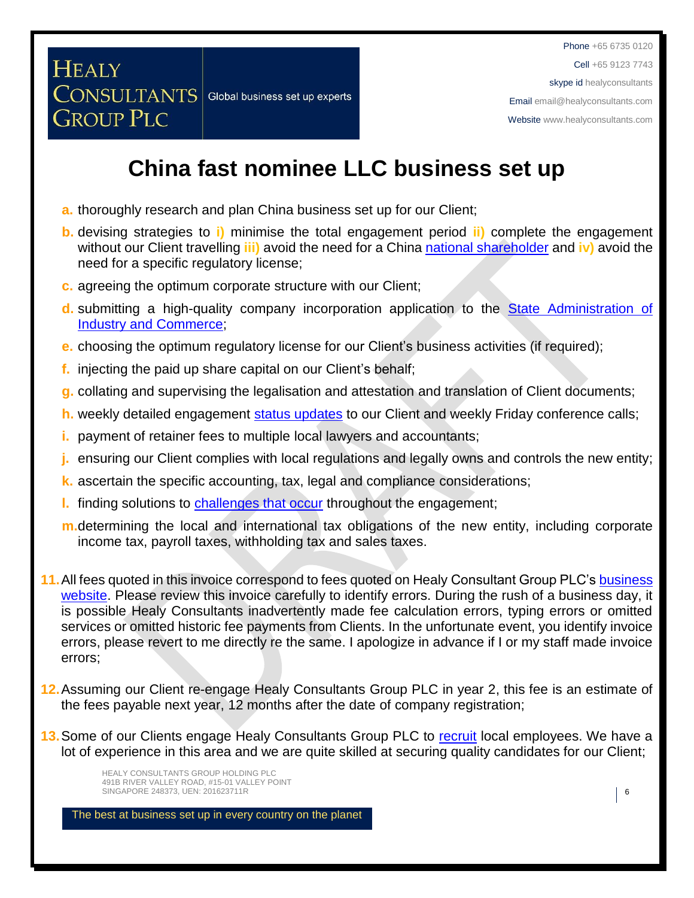Cell +65 9123 7743

skype id healyconsultants

Email [email@healyconsultants.com](mailto:EMAIL@HEALYCONSULTANTS.COM)

Websit[e www.healyconsultants.com](http://www.healyconsultants.com/)

## **China fast nominee LLC business set up**

- **a.** thoroughly research and plan China business set up for our Client;
- **b.** devising strategies to **i)** minimise the total engagement period **ii)** complete the engagement without our Client travelling **iii)** avoid the need for a China national [shareholder](http://www.healyconsultants.com/corporate-advisory-services/nominee-shareholders-directors/national-shareholder-services/) and **iv)** avoid the need for a specific regulatory license;
- **c.** agreeing the optimum corporate structure with our Client;

**CONSULTANTS** Global business set up experts

**HEALY** 

**GROUP PLC** 

- **d.** submitting a high-quality company incorporation application to the [State Administration of](http://www.saic.gov.cn/english/)  [Industry and Commerce;](http://www.saic.gov.cn/english/)
- **e.** choosing the optimum regulatory license for our Client's business activities (if required);
- **f.** injecting the paid up share capital on our Client's behalf;
- **g.** collating and supervising the legalisation and attestation and translation of Client documents;
- **h.** weekly detailed engagement [status updates](http://www.healyconsultants.com/index-important-links/weekly-engagement-status-email/) to our Client and weekly Friday conference calls;
- **i.** payment of retainer fees to multiple local lawyers and accountants;
- **j.** ensuring our Client complies with local regulations and legally owns and controls the new entity;
- **k.** ascertain the specific accounting, tax, legal and compliance considerations;
- **l.** finding solutions to [challenges that occur](http://www.healyconsultants.com/engagement-project-management/) throughout the engagement;
- **m.**determining the local and international tax obligations of the new entity, including corporate income tax, payroll taxes, withholding tax and sales taxes.
- **11.**All fees quoted in this invoice correspond to fees quoted on Healy Consultant Group PLC's [business](http://www.healyconsultants.com/india-company-registration/)  [website.](http://www.healyconsultants.com/india-company-registration/) Please review this invoice carefully to identify errors. During the rush of a business day, it is possible Healy Consultants inadvertently made fee calculation errors, typing errors or omitted services or omitted historic fee payments from Clients. In the unfortunate event, you identify invoice errors, please revert to me directly re the same. I apologize in advance if I or my staff made invoice errors;
- **12.**Assuming our Client re-engage Healy Consultants Group PLC in year 2, this fee is an estimate of the fees payable next year, 12 months after the date of company registration;
- **13.**Some of our Clients engage Healy Consultants Group PLC to [recruit](http://www.healyconsultants.com/corporate-outsourcing-services/how-we-help-our-clients-recruit-quality-employees/) local employees. We have a lot of experience in this area and we are quite skilled at securing quality candidates for our Client;

HEALY CONSULTANTS GROUP HOLDING PLC 491B RIVER VALLEY ROAD, #15-01 VALLEY POINT SINGAPORE 248373, UEN: 201623711R **6**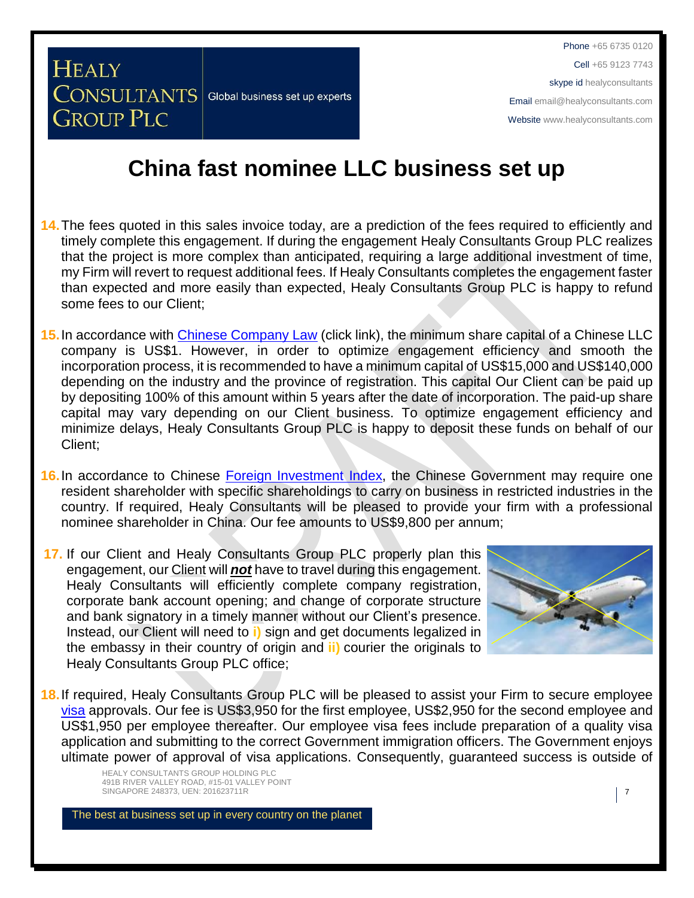**CONSULTANTS** Global business set up experts

**HEALY** 

**GROUP PLC** 

## **China fast nominee LLC business set up**

- **14.**The fees quoted in this sales invoice today, are a prediction of the fees required to efficiently and timely complete this engagement. If during the engagement Healy Consultants Group PLC realizes that the project is more complex than anticipated, requiring a large additional investment of time, my Firm will revert to request additional fees. If Healy Consultants completes the engagement faster than expected and more easily than expected, Healy Consultants Group PLC is happy to refund some fees to our Client;
- **15.**In accordance with [Chinese Company Law](http://www.china.org.cn/government/laws/2007-06/06/content_1207345.htm) (click link), the minimum share capital of a Chinese LLC company is US\$1. However, in order to optimize engagement efficiency and smooth the incorporation process, it is recommended to have a minimum capital of US\$15,000 and US\$140,000 depending on the industry and the province of registration. This capital Our Client can be paid up by depositing 100% of this amount within 5 years after the date of incorporation. The paid-up share capital may vary depending on our Client business. To optimize engagement efficiency and minimize delays, Healy Consultants Group PLC is happy to deposit these funds on behalf of our Client;
- **16.** In accordance to Chinese [Foreign Investment Index,](http://www.ndrc.gov.cn/zcfb/zcfbl/201503/W020150402620481787669.pdf) the Chinese Government may require one resident shareholder with specific shareholdings to carry on business in restricted industries in the country. If required, Healy Consultants will be pleased to provide your firm with a professional nominee shareholder in China. Our fee amounts to US\$9,800 per annum;
- **17.** If our Client and Healy Consultants Group PLC properly plan this engagement, our Client will *not* have to travel during this engagement. Healy Consultants will efficiently complete company registration, corporate bank account opening; and change of corporate structure and bank signatory in a timely manner without our Client's presence. Instead, our Client will need to **i)** sign and get documents legalized in the embassy in their country of origin and **ii)** courier the originals to Healy Consultants Group PLC office;



**18.**If required, Healy Consultants Group PLC will be pleased to assist your Firm to secure employee [visa](http://www.healyconsultants.com/china-company-registration/formation-support-services/) approvals. Our fee is US\$3,950 for the first employee, US\$2,950 for the second employee and US\$1,950 per employee thereafter. Our employee visa fees include preparation of a quality visa application and submitting to the correct Government immigration officers. The Government enjoys ultimate power of approval of visa applications. Consequently, guaranteed success is outside of

HEALY CONSULTANTS GROUP HOLDING PLC 491B RIVER VALLEY ROAD, #15-01 VALLEY POINT SINGAPORE 248373, UEN: 201623711R 7 7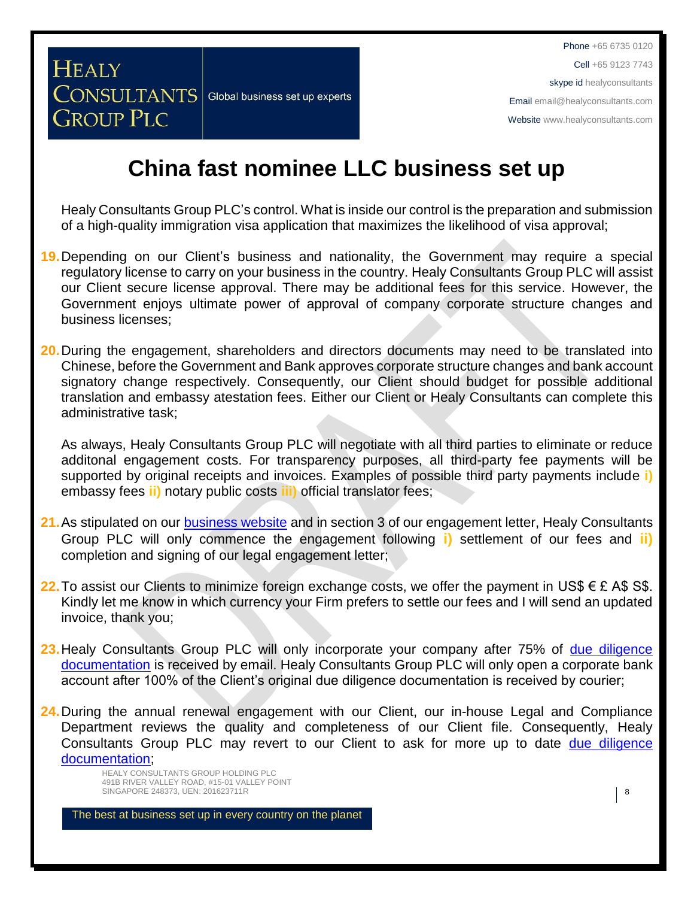## **China fast nominee LLC business set up**

Healy Consultants Group PLC's control. What is inside our control is the preparation and submission of a high-quality immigration visa application that maximizes the likelihood of visa approval;

- **19.**Depending on our Client's business and nationality, the Government may require a special regulatory license to carry on your business in the country. Healy Consultants Group PLC will assist our Client secure license approval. There may be additional fees for this service. However, the Government enjoys ultimate power of approval of company corporate structure changes and business licenses;
- **20.**During the engagement, shareholders and directors documents may need to be translated into Chinese, before the Government and Bank approves corporate structure changes and bank account signatory change respectively. Consequently, our Client should budget for possible additional translation and embassy atestation fees. Either our Client or Healy Consultants can complete this administrative task;

As always, Healy Consultants Group PLC will negotiate with all third parties to eliminate or reduce additonal engagement costs. For transparency purposes, all third-party fee payments will be supported by original receipts and invoices. Examples of possible third party payments include **i)** embassy fees **ii)** notary public costs **iii)** official translator fees;

- 21. As stipulated on our **business website** and in section 3 of our engagement letter, Healy Consultants Group PLC will only commence the engagement following **i)** settlement of our fees and **ii)** completion and signing of our legal engagement letter;
- **22.** To assist our Clients to minimize foreign exchange costs, we offer the payment in US\$  $\epsilon$  £ A\$ S\$. Kindly let me know in which currency your Firm prefers to settle our fees and I will send an updated invoice, thank you;
- 23. Healy Consultants Group PLC will only incorporate your company after 75% of due diligence [documentation](http://www.healyconsultants.com/due-diligence/) is received by email. Healy Consultants Group PLC will only open a corporate bank account after 100% of the Client's original due diligence documentation is received by courier;
- 24. During the annual renewal engagement with our Client, our in-house Legal and Compliance Department reviews the quality and completeness of our Client file. Consequently, Healy Consultants Group PLC may revert to our Client to ask for more up to date due diligence [documentation;](http://www.healyconsultants.com/due-diligence/)

HEALY CONSULTANTS GROUP HOLDING PLC 491B RIVER VALLEY ROAD, #15-01 VALLEY POINT SINGAPORE 248373, UEN: 201623711R **8** 

**HEALY** 

**GROUP PLC** 

**CONSULTANTS** Global business set up experts